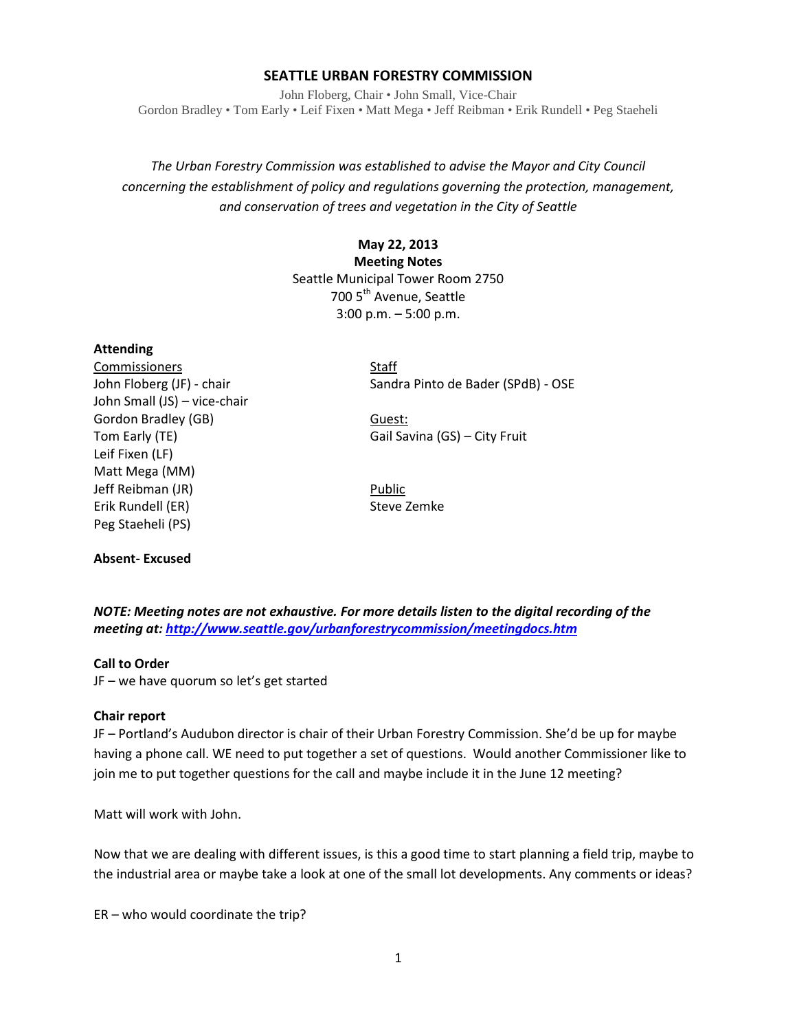## **SEATTLE URBAN FORESTRY COMMISSION**

John Floberg, Chair • John Small, Vice-Chair Gordon Bradley • Tom Early • Leif Fixen • Matt Mega • Jeff Reibman • Erik Rundell • Peg Staeheli

# *The Urban Forestry Commission was established to advise the Mayor and City Council concerning the establishment of policy and regulations governing the protection, management, and conservation of trees and vegetation in the City of Seattle*

## **May 22, 2013 Meeting Notes** Seattle Municipal Tower Room 2750 700 5<sup>th</sup> Avenue, Seattle 3:00 p.m. – 5:00 p.m.

#### **Attending**

Commissioners Staff John Small (JS) – vice-chair Gordon Bradley (GB) Guest: Leif Fixen (LF) Matt Mega (MM) Jeff Reibman (JR) Public Erik Rundell (ER) Steve Zemke Peg Staeheli (PS)

## **Absent- Excused**

John Floberg (JF) - chair Sandra Pinto de Bader (SPdB) - OSE

Tom Early (TE) Gail Savina (GS) – City Fruit

*NOTE: Meeting notes are not exhaustive. For more details listen to the digital recording of the meeting at[: http://www.seattle.gov/urbanforestrycommission/meetingdocs.htm](http://www.seattle.gov/urbanforestrycommission/meetingdocs.htm)*

#### **Call to Order**

JF – we have quorum so let's get started

#### **Chair report**

JF – Portland's Audubon director is chair of their Urban Forestry Commission. She'd be up for maybe having a phone call. WE need to put together a set of questions. Would another Commissioner like to join me to put together questions for the call and maybe include it in the June 12 meeting?

Matt will work with John.

Now that we are dealing with different issues, is this a good time to start planning a field trip, maybe to the industrial area or maybe take a look at one of the small lot developments. Any comments or ideas?

ER – who would coordinate the trip?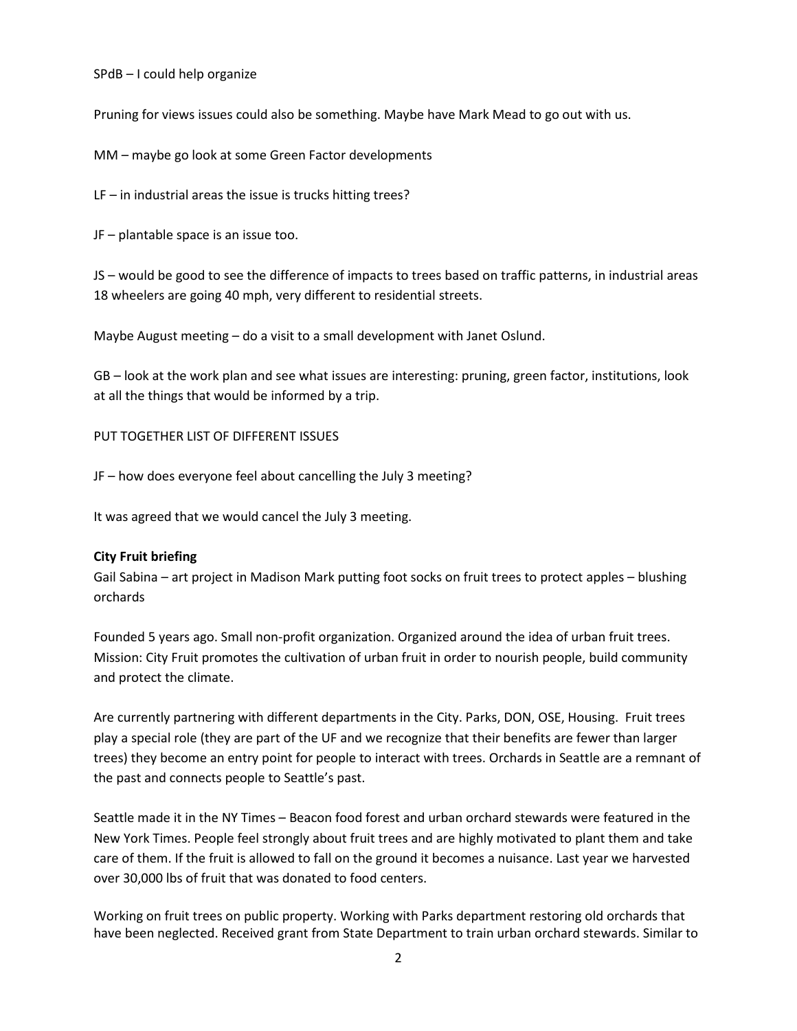SPdB – I could help organize

Pruning for views issues could also be something. Maybe have Mark Mead to go out with us.

MM – maybe go look at some Green Factor developments

 $LF$  – in industrial areas the issue is trucks hitting trees?

JF – plantable space is an issue too.

JS – would be good to see the difference of impacts to trees based on traffic patterns, in industrial areas 18 wheelers are going 40 mph, very different to residential streets.

Maybe August meeting – do a visit to a small development with Janet Oslund.

GB – look at the work plan and see what issues are interesting: pruning, green factor, institutions, look at all the things that would be informed by a trip.

PUT TOGETHER LIST OF DIFFERENT ISSUES

JF – how does everyone feel about cancelling the July 3 meeting?

It was agreed that we would cancel the July 3 meeting.

#### **City Fruit briefing**

Gail Sabina – art project in Madison Mark putting foot socks on fruit trees to protect apples – blushing orchards

Founded 5 years ago. Small non-profit organization. Organized around the idea of urban fruit trees. Mission: City Fruit promotes the cultivation of urban fruit in order to nourish people, build community and protect the climate.

Are currently partnering with different departments in the City. Parks, DON, OSE, Housing. Fruit trees play a special role (they are part of the UF and we recognize that their benefits are fewer than larger trees) they become an entry point for people to interact with trees. Orchards in Seattle are a remnant of the past and connects people to Seattle's past.

Seattle made it in the NY Times – Beacon food forest and urban orchard stewards were featured in the New York Times. People feel strongly about fruit trees and are highly motivated to plant them and take care of them. If the fruit is allowed to fall on the ground it becomes a nuisance. Last year we harvested over 30,000 lbs of fruit that was donated to food centers.

Working on fruit trees on public property. Working with Parks department restoring old orchards that have been neglected. Received grant from State Department to train urban orchard stewards. Similar to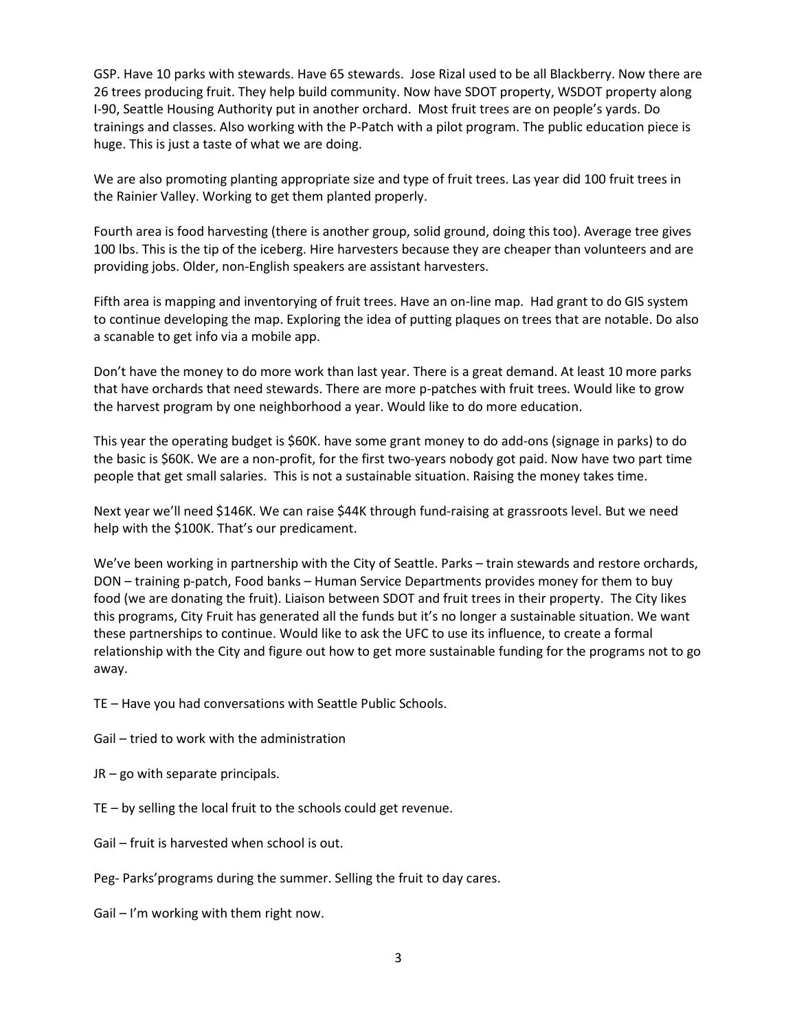GSP. Have 10 parks with stewards. Have 65 stewards. Jose Rizal used to be all Blackberry. Now there are 26 trees producing fruit. They help build community. Now have SDOT property, WSDOT property along I-90, Seattle Housing Authority put in another orchard. Most fruit trees are on people's yards. Do trainings and classes. Also working with the P-Patch with a pilot program. The public education piece is huge. This is just a taste of what we are doing.

We are also promoting planting appropriate size and type of fruit trees. Las year did 100 fruit trees in the Rainier Valley. Working to get them planted properly.

Fourth area is food harvesting (there is another group, solid ground, doing this too). Average tree gives 100 lbs. This is the tip of the iceberg. Hire harvesters because they are cheaper than volunteers and are providing jobs. Older, non-English speakers are assistant harvesters.

Fifth area is mapping and inventorying of fruit trees. Have an on-line map. Had grant to do GIS system to continue developing the map. Exploring the idea of putting plaques on trees that are notable. Do also a scanable to get info via a mobile app.

Don't have the money to do more work than last year. There is a great demand. At least 10 more parks that have orchards that need stewards. There are more p-patches with fruit trees. Would like to grow the harvest program by one neighborhood a year. Would like to do more education.

This year the operating budget is \$60K. have some grant money to do add-ons (signage in parks) to do the basic is \$60K. We are a non-profit, for the first two-years nobody got paid. Now have two part time people that get small salaries. This is not a sustainable situation. Raising the money takes time.

Next year we'll need \$146K. We can raise \$44K through fund-raising at grassroots level. But we need help with the \$100K. That's our predicament.

We've been working in partnership with the City of Seattle. Parks – train stewards and restore orchards, DON – training p-patch, Food banks – Human Service Departments provides money for them to buy food (we are donating the fruit). Liaison between SDOT and fruit trees in their property. The City likes this programs, City Fruit has generated all the funds but it's no longer a sustainable situation. We want these partnerships to continue. Would like to ask the UFC to use its influence, to create a formal relationship with the City and figure out how to get more sustainable funding for the programs not to go away.

TE – Have you had conversations with Seattle Public Schools.

Gail – tried to work with the administration

JR – go with separate principals.

TE – by selling the local fruit to the schools could get revenue.

Gail – fruit is harvested when school is out.

Peg- Parks'programs during the summer. Selling the fruit to day cares.

Gail – I'm working with them right now.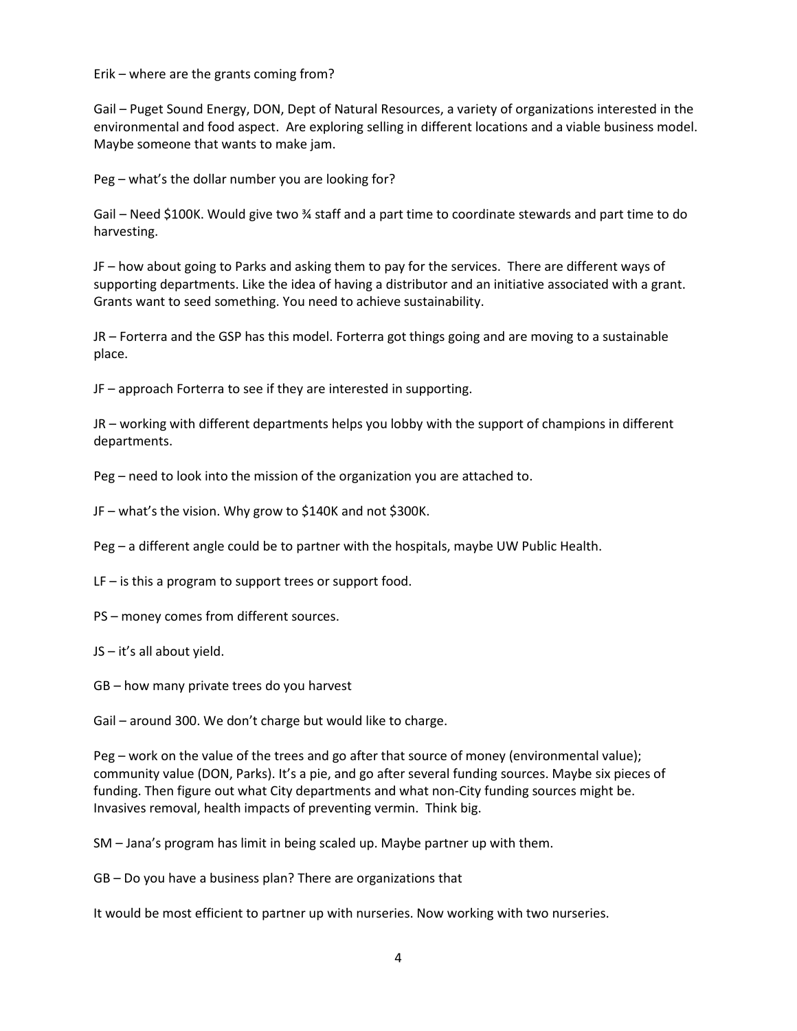Erik – where are the grants coming from?

Gail – Puget Sound Energy, DON, Dept of Natural Resources, a variety of organizations interested in the environmental and food aspect. Are exploring selling in different locations and a viable business model. Maybe someone that wants to make jam.

Peg – what's the dollar number you are looking for?

Gail – Need \$100K. Would give two ¾ staff and a part time to coordinate stewards and part time to do harvesting.

JF – how about going to Parks and asking them to pay for the services. There are different ways of supporting departments. Like the idea of having a distributor and an initiative associated with a grant. Grants want to seed something. You need to achieve sustainability.

JR – Forterra and the GSP has this model. Forterra got things going and are moving to a sustainable place.

JF – approach Forterra to see if they are interested in supporting.

JR – working with different departments helps you lobby with the support of champions in different departments.

Peg – need to look into the mission of the organization you are attached to.

JF – what's the vision. Why grow to \$140K and not \$300K.

Peg – a different angle could be to partner with the hospitals, maybe UW Public Health.

LF – is this a program to support trees or support food.

PS – money comes from different sources.

JS – it's all about yield.

GB – how many private trees do you harvest

Gail – around 300. We don't charge but would like to charge.

Peg – work on the value of the trees and go after that source of money (environmental value); community value (DON, Parks). It's a pie, and go after several funding sources. Maybe six pieces of funding. Then figure out what City departments and what non-City funding sources might be. Invasives removal, health impacts of preventing vermin. Think big.

SM – Jana's program has limit in being scaled up. Maybe partner up with them.

GB – Do you have a business plan? There are organizations that

It would be most efficient to partner up with nurseries. Now working with two nurseries.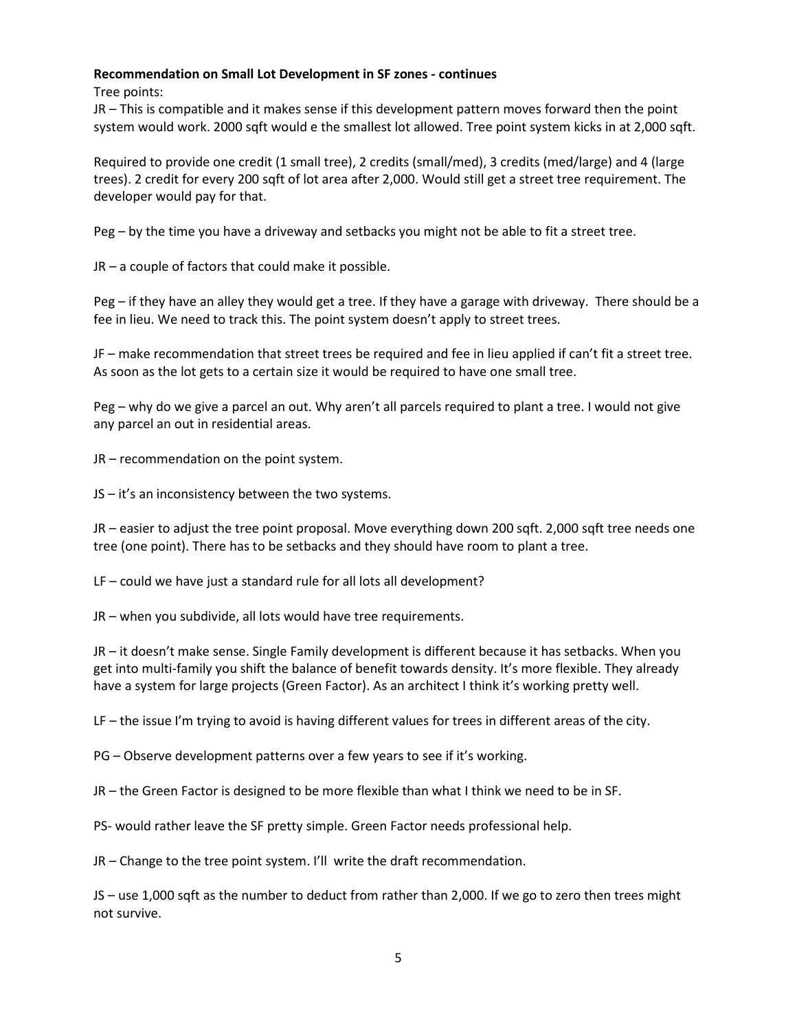## **Recommendation on Small Lot Development in SF zones - continues**

Tree points:

JR – This is compatible and it makes sense if this development pattern moves forward then the point system would work. 2000 sqft would e the smallest lot allowed. Tree point system kicks in at 2,000 sqft.

Required to provide one credit (1 small tree), 2 credits (small/med), 3 credits (med/large) and 4 (large trees). 2 credit for every 200 sqft of lot area after 2,000. Would still get a street tree requirement. The developer would pay for that.

Peg – by the time you have a driveway and setbacks you might not be able to fit a street tree.

JR – a couple of factors that could make it possible.

Peg – if they have an alley they would get a tree. If they have a garage with driveway. There should be a fee in lieu. We need to track this. The point system doesn't apply to street trees.

JF – make recommendation that street trees be required and fee in lieu applied if can't fit a street tree. As soon as the lot gets to a certain size it would be required to have one small tree.

Peg – why do we give a parcel an out. Why aren't all parcels required to plant a tree. I would not give any parcel an out in residential areas.

JR – recommendation on the point system.

JS – it's an inconsistency between the two systems.

JR – easier to adjust the tree point proposal. Move everything down 200 sqft. 2,000 sqft tree needs one tree (one point). There has to be setbacks and they should have room to plant a tree.

LF – could we have just a standard rule for all lots all development?

JR – when you subdivide, all lots would have tree requirements.

JR – it doesn't make sense. Single Family development is different because it has setbacks. When you get into multi-family you shift the balance of benefit towards density. It's more flexible. They already have a system for large projects (Green Factor). As an architect I think it's working pretty well.

LF – the issue I'm trying to avoid is having different values for trees in different areas of the city.

PG – Observe development patterns over a few years to see if it's working.

JR – the Green Factor is designed to be more flexible than what I think we need to be in SF.

PS- would rather leave the SF pretty simple. Green Factor needs professional help.

JR – Change to the tree point system. I'll write the draft recommendation.

JS – use 1,000 sqft as the number to deduct from rather than 2,000. If we go to zero then trees might not survive.